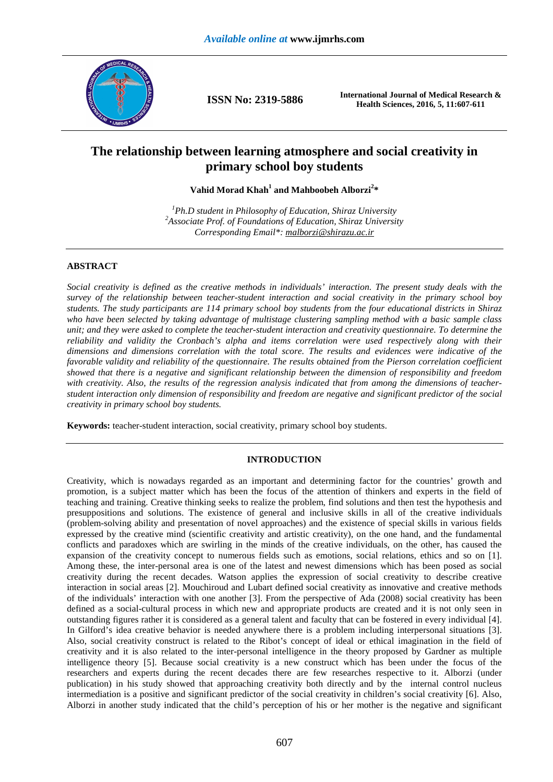

**ISSN No: 2319-5886 International Journal of Medical Research & Health Sciences, 2016, 5, 11:607-611** 

# **The relationship between learning atmosphere and social creativity in primary school boy students**

**Vahid Morad Khah<sup>1</sup> and Mahboobeh Alborzi<sup>2</sup> \*** 

*<sup>1</sup>Ph.D student in Philosophy of Education, Shiraz University <sup>2</sup>Associate Prof. of Foundations of Education, Shiraz University Corresponding Email\*: malborzi@shirazu.ac.ir*

# **ABSTRACT**

*Social creativity is defined as the creative methods in individuals' interaction. The present study deals with the survey of the relationship between teacher-student interaction and social creativity in the primary school boy students. The study participants are 114 primary school boy students from the four educational districts in Shiraz who have been selected by taking advantage of multistage clustering sampling method with a basic sample class unit; and they were asked to complete the teacher-student interaction and creativity questionnaire. To determine the reliability and validity the Cronbach's alpha and items correlation were used respectively along with their dimensions and dimensions correlation with the total score. The results and evidences were indicative of the favorable validity and reliability of the questionnaire. The results obtained from the Pierson correlation coefficient showed that there is a negative and significant relationship between the dimension of responsibility and freedom with creativity. Also, the results of the regression analysis indicated that from among the dimensions of teacherstudent interaction only dimension of responsibility and freedom are negative and significant predictor of the social creativity in primary school boy students.* 

**Keywords:** teacher-student interaction, social creativity, primary school boy students.

# **INTRODUCTION**

Creativity, which is nowadays regarded as an important and determining factor for the countries' growth and promotion, is a subject matter which has been the focus of the attention of thinkers and experts in the field of teaching and training. Creative thinking seeks to realize the problem, find solutions and then test the hypothesis and presuppositions and solutions. The existence of general and inclusive skills in all of the creative individuals (problem-solving ability and presentation of novel approaches) and the existence of special skills in various fields expressed by the creative mind (scientific creativity and artistic creativity), on the one hand, and the fundamental conflicts and paradoxes which are swirling in the minds of the creative individuals, on the other, has caused the expansion of the creativity concept to numerous fields such as emotions, social relations, ethics and so on [1]. Among these, the inter-personal area is one of the latest and newest dimensions which has been posed as social creativity during the recent decades. Watson applies the expression of social creativity to describe creative interaction in social areas [2]. Mouchiroud and Lubart defined social creativity as innovative and creative methods of the individuals' interaction with one another [3]. From the perspective of Ada (2008) social creativity has been defined as a social-cultural process in which new and appropriate products are created and it is not only seen in outstanding figures rather it is considered as a general talent and faculty that can be fostered in every individual [4]. In Gilford's idea creative behavior is needed anywhere there is a problem including interpersonal situations [3]. Also, social creativity construct is related to the Ribot's concept of ideal or ethical imagination in the field of creativity and it is also related to the inter-personal intelligence in the theory proposed by Gardner as multiple intelligence theory [5]. Because social creativity is a new construct which has been under the focus of the researchers and experts during the recent decades there are few researches respective to it. Alborzi (under publication) in his study showed that approaching creativity both directly and by the internal control nucleus intermediation is a positive and significant predictor of the social creativity in children's social creativity [6]. Also, Alborzi in another study indicated that the child's perception of his or her mother is the negative and significant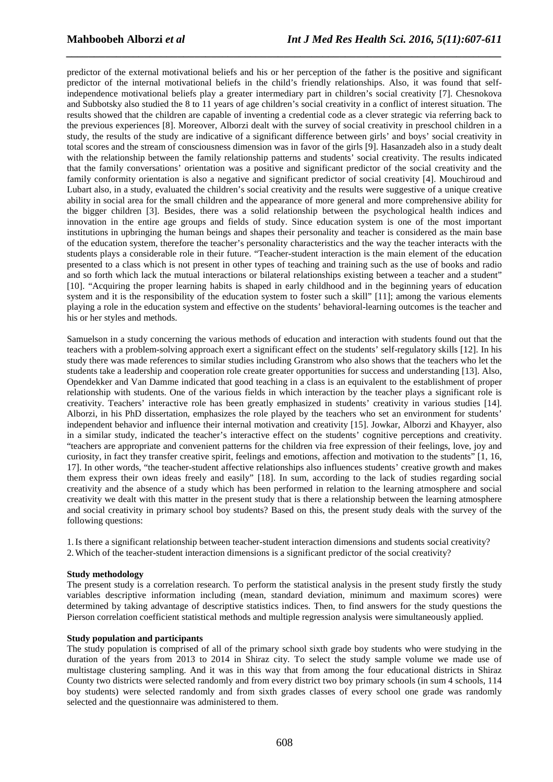predictor of the external motivational beliefs and his or her perception of the father is the positive and significant predictor of the internal motivational beliefs in the child's friendly relationships. Also, it was found that selfindependence motivational beliefs play a greater intermediary part in children's social creativity [7]. Chesnokova and Subbotsky also studied the 8 to 11 years of age children's social creativity in a conflict of interest situation. The results showed that the children are capable of inventing a credential code as a clever strategic via referring back to the previous experiences [8]. Moreover, Alborzi dealt with the survey of social creativity in preschool children in a study, the results of the study are indicative of a significant difference between girls' and boys' social creativity in total scores and the stream of consciousness dimension was in favor of the girls [9]. Hasanzadeh also in a study dealt with the relationship between the family relationship patterns and students' social creativity. The results indicated that the family conversations' orientation was a positive and significant predictor of the social creativity and the family conformity orientation is also a negative and significant predictor of social creativity [4]. Mouchiroud and Lubart also, in a study, evaluated the children's social creativity and the results were suggestive of a unique creative ability in social area for the small children and the appearance of more general and more comprehensive ability for the bigger children [3]. Besides, there was a solid relationship between the psychological health indices and innovation in the entire age groups and fields of study. Since education system is one of the most important institutions in upbringing the human beings and shapes their personality and teacher is considered as the main base of the education system, therefore the teacher's personality characteristics and the way the teacher interacts with the students plays a considerable role in their future. "Teacher-student interaction is the main element of the education presented to a class which is not present in other types of teaching and training such as the use of books and radio and so forth which lack the mutual interactions or bilateral relationships existing between a teacher and a student" [10]. "Acquiring the proper learning habits is shaped in early childhood and in the beginning years of education system and it is the responsibility of the education system to foster such a skill" [11]; among the various elements playing a role in the education system and effective on the students' behavioral-learning outcomes is the teacher and his or her styles and methods.

*\_\_\_\_\_\_\_\_\_\_\_\_\_\_\_\_\_\_\_\_\_\_\_\_\_\_\_\_\_\_\_\_\_\_\_\_\_\_\_\_\_\_\_\_\_\_\_\_\_\_\_\_\_\_\_\_\_\_\_\_\_\_\_\_\_\_\_\_\_\_\_\_\_\_\_\_\_\_*

Samuelson in a study concerning the various methods of education and interaction with students found out that the teachers with a problem-solving approach exert a significant effect on the students' self-regulatory skills [12]. In his study there was made references to similar studies including Granstrom who also shows that the teachers who let the students take a leadership and cooperation role create greater opportunities for success and understanding [13]. Also, Opendekker and Van Damme indicated that good teaching in a class is an equivalent to the establishment of proper relationship with students. One of the various fields in which interaction by the teacher plays a significant role is creativity. Teachers' interactive role has been greatly emphasized in students' creativity in various studies [14]. Alborzi, in his PhD dissertation, emphasizes the role played by the teachers who set an environment for students' independent behavior and influence their internal motivation and creativity [15]. Jowkar, Alborzi and Khayyer, also in a similar study, indicated the teacher's interactive effect on the students' cognitive perceptions and creativity. "teachers are appropriate and convenient patterns for the children via free expression of their feelings, love, joy and curiosity, in fact they transfer creative spirit, feelings and emotions, affection and motivation to the students" [1, 16, 17]. In other words, "the teacher-student affective relationships also influences students' creative growth and makes them express their own ideas freely and easily" [18]. In sum, according to the lack of studies regarding social creativity and the absence of a study which has been performed in relation to the learning atmosphere and social creativity we dealt with this matter in the present study that is there a relationship between the learning atmosphere and social creativity in primary school boy students? Based on this, the present study deals with the survey of the following questions:

1.Is there a significant relationship between teacher-student interaction dimensions and students social creativity? 2.Which of the teacher-student interaction dimensions is a significant predictor of the social creativity?

# **Study methodology**

The present study is a correlation research. To perform the statistical analysis in the present study firstly the study variables descriptive information including (mean, standard deviation, minimum and maximum scores) were determined by taking advantage of descriptive statistics indices. Then, to find answers for the study questions the Pierson correlation coefficient statistical methods and multiple regression analysis were simultaneously applied.

## **Study population and participants**

The study population is comprised of all of the primary school sixth grade boy students who were studying in the duration of the years from 2013 to 2014 in Shiraz city. To select the study sample volume we made use of multistage clustering sampling. And it was in this way that from among the four educational districts in Shiraz County two districts were selected randomly and from every district two boy primary schools (in sum 4 schools, 114 boy students) were selected randomly and from sixth grades classes of every school one grade was randomly selected and the questionnaire was administered to them.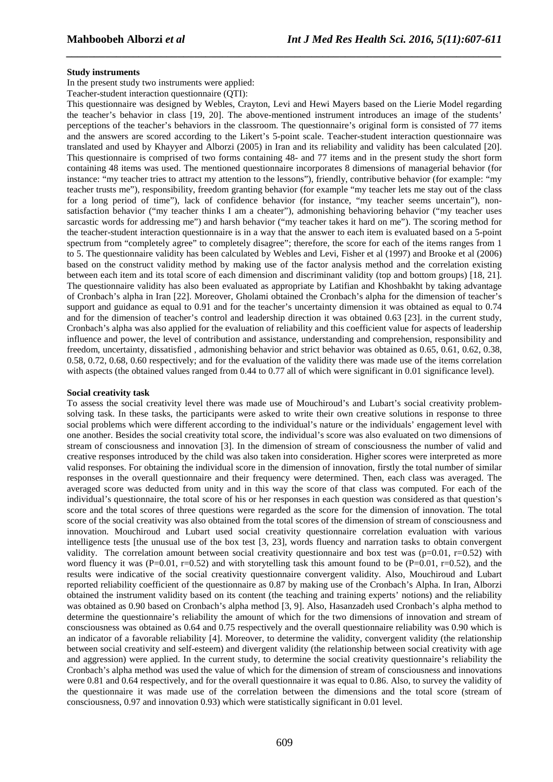### **Study instruments**

In the present study two instruments were applied:

Teacher-student interaction questionnaire (QTI):

This questionnaire was designed by Webles, Crayton, Levi and Hewi Mayers based on the Lierie Model regarding the teacher's behavior in class [19, 20]. The above-mentioned instrument introduces an image of the students' perceptions of the teacher's behaviors in the classroom. The questionnaire's original form is consisted of 77 items and the answers are scored according to the Likert's 5-point scale. Teacher-student interaction questionnaire was translated and used by Khayyer and Alborzi (2005) in Iran and its reliability and validity has been calculated [20]. This questionnaire is comprised of two forms containing 48- and 77 items and in the present study the short form containing 48 items was used. The mentioned questionnaire incorporates 8 dimensions of managerial behavior (for instance: "my teacher tries to attract my attention to the lessons"), friendly, contributive behavior (for example: "my teacher trusts me"), responsibility, freedom granting behavior (for example "my teacher lets me stay out of the class for a long period of time"), lack of confidence behavior (for instance, "my teacher seems uncertain"), nonsatisfaction behavior ("my teacher thinks I am a cheater"), admonishing behavioring behavior ("my teacher uses sarcastic words for addressing me") and harsh behavior ("my teacher takes it hard on me"). The scoring method for the teacher-student interaction questionnaire is in a way that the answer to each item is evaluated based on a 5-point spectrum from "completely agree" to completely disagree"; therefore, the score for each of the items ranges from 1 to 5. The questionnaire validity has been calculated by Webles and Levi, Fisher et al (1997) and Brooke et al (2006) based on the construct validity method by making use of the factor analysis method and the correlation existing between each item and its total score of each dimension and discriminant validity (top and bottom groups) [18, 21]. The questionnaire validity has also been evaluated as appropriate by Latifian and Khoshbakht by taking advantage of Cronbach's alpha in Iran [22]. Moreover, Gholami obtained the Cronbach's alpha for the dimension of teacher's support and guidance as equal to 0.91 and for the teacher's uncertainty dimension it was obtained as equal to 0.74 and for the dimension of teacher's control and leadership direction it was obtained 0.63 [23]. in the current study, Cronbach's alpha was also applied for the evaluation of reliability and this coefficient value for aspects of leadership influence and power, the level of contribution and assistance, understanding and comprehension, responsibility and freedom, uncertainty, dissatisfied , admonishing behavior and strict behavior was obtained as 0.65, 0.61, 0.62, 0.38, 0.58, 0.72, 0.68, 0.60 respectively; and for the evaluation of the validity there was made use of the items correlation with aspects (the obtained values ranged from 0.44 to 0.77 all of which were significant in 0.01 significance level).

*\_\_\_\_\_\_\_\_\_\_\_\_\_\_\_\_\_\_\_\_\_\_\_\_\_\_\_\_\_\_\_\_\_\_\_\_\_\_\_\_\_\_\_\_\_\_\_\_\_\_\_\_\_\_\_\_\_\_\_\_\_\_\_\_\_\_\_\_\_\_\_\_\_\_\_\_\_\_*

#### **Social creativity task**

To assess the social creativity level there was made use of Mouchiroud's and Lubart's social creativity problemsolving task. In these tasks, the participants were asked to write their own creative solutions in response to three social problems which were different according to the individual's nature or the individuals' engagement level with one another. Besides the social creativity total score, the individual's score was also evaluated on two dimensions of stream of consciousness and innovation [3]. In the dimension of stream of consciousness the number of valid and creative responses introduced by the child was also taken into consideration. Higher scores were interpreted as more valid responses. For obtaining the individual score in the dimension of innovation, firstly the total number of similar responses in the overall questionnaire and their frequency were determined. Then, each class was averaged. The averaged score was deducted from unity and in this way the score of that class was computed. For each of the individual's questionnaire, the total score of his or her responses in each question was considered as that question's score and the total scores of three questions were regarded as the score for the dimension of innovation. The total score of the social creativity was also obtained from the total scores of the dimension of stream of consciousness and innovation. Mouchiroud and Lubart used social creativity questionnaire correlation evaluation with various intelligence tests [the unusual use of the box test [3, 23], words fluency and narration tasks to obtain convergent validity. The correlation amount between social creativity questionnaire and box test was ( $p=0.01$ ,  $r=0.52$ ) with word fluency it was (P=0.01, r=0.52) and with storytelling task this amount found to be (P=0.01, r=0.52), and the results were indicative of the social creativity questionnaire convergent validity. Also, Mouchiroud and Lubart reported reliability coefficient of the questionnaire as 0.87 by making use of the Cronbach's Alpha. In Iran, Alborzi obtained the instrument validity based on its content (the teaching and training experts' notions) and the reliability was obtained as 0.90 based on Cronbach's alpha method [3, 9]. Also, Hasanzadeh used Cronbach's alpha method to determine the questionnaire's reliability the amount of which for the two dimensions of innovation and stream of consciousness was obtained as 0.64 and 0.75 respectively and the overall questionnaire reliability was 0.90 which is an indicator of a favorable reliability [4]. Moreover, to determine the validity, convergent validity (the relationship between social creativity and self-esteem) and divergent validity (the relationship between social creativity with age and aggression) were applied. In the current study, to determine the social creativity questionnaire's reliability the Cronbach's alpha method was used the value of which for the dimension of stream of consciousness and innovations were 0.81 and 0.64 respectively, and for the overall questionnaire it was equal to 0.86. Also, to survey the validity of the questionnaire it was made use of the correlation between the dimensions and the total score (stream of consciousness, 0.97 and innovation 0.93) which were statistically significant in 0.01 level.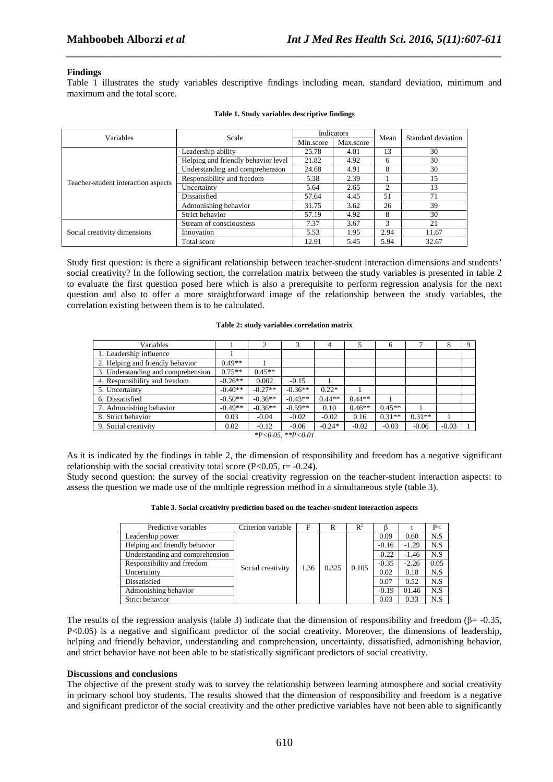## **Findings**

Table 1 illustrates the study variables descriptive findings including mean, standard deviation, minimum and maximum and the total score.

*\_\_\_\_\_\_\_\_\_\_\_\_\_\_\_\_\_\_\_\_\_\_\_\_\_\_\_\_\_\_\_\_\_\_\_\_\_\_\_\_\_\_\_\_\_\_\_\_\_\_\_\_\_\_\_\_\_\_\_\_\_\_\_\_\_\_\_\_\_\_\_\_\_\_\_\_\_\_*

| Variables                           | Scale                               |           | Indicators | Mean | Standard deviation |  |
|-------------------------------------|-------------------------------------|-----------|------------|------|--------------------|--|
|                                     |                                     | Min.score | Max.score  |      |                    |  |
| Teacher-student interaction aspects | Leadership ability                  | 25.78     | 4.01       | 13   | 30                 |  |
|                                     | Helping and friendly behavior level | 21.82     | 4.92       | 6    | 30                 |  |
|                                     | Understanding and comprehension     | 24.68     | 4.91       | 8    | 30                 |  |
|                                     | Responsibility and freedom          | 5.38      | 2.39       |      | 15                 |  |
|                                     | Uncertainty                         | 5.64      | 2.65       | 2    | 13                 |  |
|                                     | Dissatisfied                        | 57.64     | 4.45       | 51   | 71                 |  |
|                                     | Admonishing behavior                | 31.75     | 3.62       | 26   | 39                 |  |
|                                     | Strict behavior                     | 57.19     | 4.92       | 8    | 30                 |  |
| Social creativity dimensions        | Stream of consciousness             | 7.37      | 3.67       | 3    | 21                 |  |
|                                     | Innovation                          | 5.53      | 1.95       | 2.94 | 11.67              |  |
|                                     | Total score                         | 12.91     | 5.45       | 5.94 | 32.67              |  |

#### **Table 1. Study variables descriptive findings**

Study first question: is there a significant relationship between teacher-student interaction dimensions and students' social creativity? In the following section, the correlation matrix between the study variables is presented in table 2 to evaluate the first question posed here which is also a prerequisite to perform regression analysis for the next question and also to offer a more straightforward image of the relationship between the study variables, the correlation existing between them is to be calculated.

#### **Table 2: study variables correlation matrix**

| Variables                                                       |           |           |           | 4        |          | 6        |          | 8       | Q |
|-----------------------------------------------------------------|-----------|-----------|-----------|----------|----------|----------|----------|---------|---|
| 1. Leadership influence                                         |           |           |           |          |          |          |          |         |   |
| 2. Helping and friendly behavior                                | $0.49**$  |           |           |          |          |          |          |         |   |
| 3. Understanding and comprehension                              | $0.75**$  | $0.45**$  |           |          |          |          |          |         |   |
| 4. Responsibility and freedom                                   | $-0.26**$ | 0.002     | $-0.15$   |          |          |          |          |         |   |
| 5. Uncertainty                                                  | $-0.40**$ | $-0.27**$ | $-0.36**$ | $0.22*$  |          |          |          |         |   |
| 6. Dissatisfied                                                 | $-0.50**$ | $-0.36**$ | $-0.43**$ | $0.44**$ | $0.44**$ |          |          |         |   |
| 7. Admonishing behavior                                         | $-0.49**$ | $-0.36**$ | $-0.59**$ | 0.10     | $0.46**$ | $0.45**$ |          |         |   |
| 8. Strict behavior                                              | 0.03      | $-0.04$   | $-0.02$   | $-0.02$  | 0.16     | $0.31**$ | $0.31**$ |         |   |
| 9. Social creativity                                            | 0.02      | $-0.12$   | $-0.06$   | $-0.24*$ | $-0.02$  | $-0.03$  | $-0.06$  | $-0.03$ |   |
| $\mathbf{a}$ and $\mathbf{a}$ and $\mathbf{a}$ and $\mathbf{a}$ |           |           |           |          |          |          |          |         |   |

*\*P<0.05, \*\*P<0.01* 

As it is indicated by the findings in table 2, the dimension of responsibility and freedom has a negative significant relationship with the social creativity total score ( $P<0.05$ ,  $r=-0.24$ ).

Study second question: the survey of the social creativity regression on the teacher-student interaction aspects: to assess the question we made use of the multiple regression method in a simultaneous style (table 3).

|  | Table 3. Social creativity prediction based on the teacher-student interaction aspects |
|--|----------------------------------------------------------------------------------------|
|--|----------------------------------------------------------------------------------------|

| Predictive variables            | Criterion variable | F    | R     | $R^2$ |         |         | P<   |
|---------------------------------|--------------------|------|-------|-------|---------|---------|------|
| Leadership power                |                    |      | 0.325 | 0.105 | 0.09    | 0.60    | N.S  |
| Helping and friendly behavior   |                    |      |       |       | $-0.16$ | $-1.29$ | N.S  |
| Understanding and comprehension |                    |      |       |       | $-0.22$ | $-1.46$ | N.S  |
| Responsibility and freedom      | Social creativity  | 1.36 |       |       | $-0.35$ | $-2.26$ | 0.05 |
| Uncertainty                     |                    |      |       |       | 0.02    | 0.18    | N.S  |
| Dissatisfied                    |                    |      |       |       | 0.07    | 0.52    | N.S  |
| Admonishing behavior            |                    |      |       |       | $-0.19$ | 01.46   | N.S  |
| Strict behavior                 |                    |      |       |       | 0.03    | 0.33    | N.S  |

The results of the regression analysis (table 3) indicate that the dimension of responsibility and freedom ( $\beta$ = -0.35,  $P \leq 0.05$ ) is a negative and significant predictor of the social creativity. Moreover, the dimensions of leadership, helping and friendly behavior, understanding and comprehension, uncertainty, dissatisfied, admonishing behavior, and strict behavior have not been able to be statistically significant predictors of social creativity.

### **Discussions and conclusions**

The objective of the present study was to survey the relationship between learning atmosphere and social creativity in primary school boy students. The results showed that the dimension of responsibility and freedom is a negative and significant predictor of the social creativity and the other predictive variables have not been able to significantly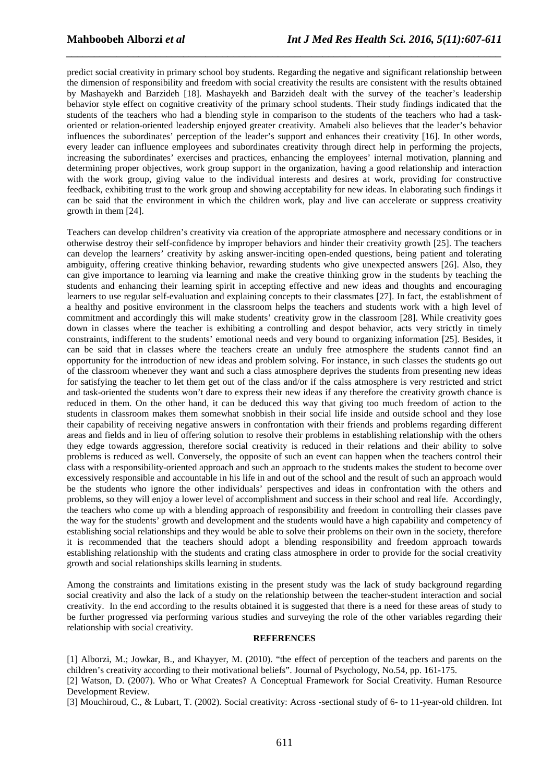predict social creativity in primary school boy students. Regarding the negative and significant relationship between the dimension of responsibility and freedom with social creativity the results are consistent with the results obtained by Mashayekh and Barzideh [18]. Mashayekh and Barzideh dealt with the survey of the teacher's leadership behavior style effect on cognitive creativity of the primary school students. Their study findings indicated that the students of the teachers who had a blending style in comparison to the students of the teachers who had a taskoriented or relation-oriented leadership enjoyed greater creativity. Amabeli also believes that the leader's behavior influences the subordinates' perception of the leader's support and enhances their creativity [16]. In other words, every leader can influence employees and subordinates creativity through direct help in performing the projects, increasing the subordinates' exercises and practices, enhancing the employees' internal motivation, planning and determining proper objectives, work group support in the organization, having a good relationship and interaction with the work group, giving value to the individual interests and desires at work, providing for constructive feedback, exhibiting trust to the work group and showing acceptability for new ideas. In elaborating such findings it can be said that the environment in which the children work, play and live can accelerate or suppress creativity growth in them [24].

*\_\_\_\_\_\_\_\_\_\_\_\_\_\_\_\_\_\_\_\_\_\_\_\_\_\_\_\_\_\_\_\_\_\_\_\_\_\_\_\_\_\_\_\_\_\_\_\_\_\_\_\_\_\_\_\_\_\_\_\_\_\_\_\_\_\_\_\_\_\_\_\_\_\_\_\_\_\_*

Teachers can develop children's creativity via creation of the appropriate atmosphere and necessary conditions or in otherwise destroy their self-confidence by improper behaviors and hinder their creativity growth [25]. The teachers can develop the learners' creativity by asking answer-inciting open-ended questions, being patient and tolerating ambiguity, offering creative thinking behavior, rewarding students who give unexpected answers [26]. Also, they can give importance to learning via learning and make the creative thinking grow in the students by teaching the students and enhancing their learning spirit in accepting effective and new ideas and thoughts and encouraging learners to use regular self-evaluation and explaining concepts to their classmates [27]. In fact, the establishment of a healthy and positive environment in the classroom helps the teachers and students work with a high level of commitment and accordingly this will make students' creativity grow in the classroom [28]. While creativity goes down in classes where the teacher is exhibiting a controlling and despot behavior, acts very strictly in timely constraints, indifferent to the students' emotional needs and very bound to organizing information [25]. Besides, it can be said that in classes where the teachers create an unduly free atmosphere the students cannot find an opportunity for the introduction of new ideas and problem solving. For instance, in such classes the students go out of the classroom whenever they want and such a class atmosphere deprives the students from presenting new ideas for satisfying the teacher to let them get out of the class and/or if the calss atmosphere is very restricted and strict and task-oriented the students won't dare to express their new ideas if any therefore the creativity growth chance is reduced in them. On the other hand, it can be deduced this way that giving too much freedom of action to the students in classroom makes them somewhat snobbish in their social life inside and outside school and they lose their capability of receiving negative answers in confrontation with their friends and problems regarding different areas and fields and in lieu of offering solution to resolve their problems in establishing relationship with the others they edge towards aggression, therefore social creativity is reduced in their relations and their ability to solve problems is reduced as well. Conversely, the opposite of such an event can happen when the teachers control their class with a responsibility-oriented approach and such an approach to the students makes the student to become over excessively responsible and accountable in his life in and out of the school and the result of such an approach would be the students who ignore the other individuals' perspectives and ideas in confrontation with the others and problems, so they will enjoy a lower level of accomplishment and success in their school and real life. Accordingly, the teachers who come up with a blending approach of responsibility and freedom in controlling their classes pave the way for the students' growth and development and the students would have a high capability and competency of establishing social relationships and they would be able to solve their problems on their own in the society, therefore it is recommended that the teachers should adopt a blending responsibility and freedom approach towards establishing relationship with the students and crating class atmosphere in order to provide for the social creativity growth and social relationships skills learning in students.

Among the constraints and limitations existing in the present study was the lack of study background regarding social creativity and also the lack of a study on the relationship between the teacher-student interaction and social creativity. In the end according to the results obtained it is suggested that there is a need for these areas of study to be further progressed via performing various studies and surveying the role of the other variables regarding their relationship with social creativity.

### **REFERENCES**

[1] Alborzi, M.; Jowkar, B., and Khayyer, M. (2010). "the effect of perception of the teachers and parents on the children's creativity according to their motivational beliefs". Journal of Psychology, No.54, pp. 161-175.

[2] Watson, D. (2007). Who or What Creates? A Conceptual Framework for Social Creativity. Human Resource Development Review.

[3] Mouchiroud, C., & Lubart, T. (2002). Social creativity: Across -sectional study of 6- to 11-year-old children. Int